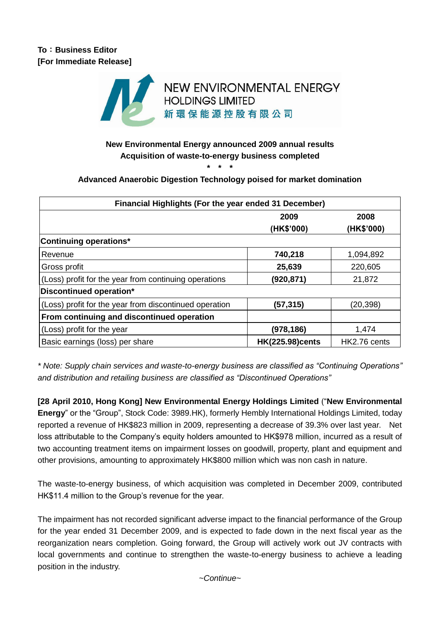

### **New Environmental Energy announced 2009 annual results Acquisition of waste-to-energy business completed \* \* \***

# **Advanced Anaerobic Digestion Technology poised for market domination**

| Financial Highlights (For the year ended 31 December)  |                        |              |
|--------------------------------------------------------|------------------------|--------------|
|                                                        | 2009                   | 2008         |
|                                                        | (HK\$'000)             | (HK\$'000)   |
| <b>Continuing operations*</b>                          |                        |              |
| Revenue                                                | 740,218                | 1,094,892    |
| Gross profit                                           | 25,639                 | 220,605      |
| (Loss) profit for the year from continuing operations  | (920,871)              | 21,872       |
| Discontinued operation*                                |                        |              |
| (Loss) profit for the year from discontinued operation | (57,315)               | (20,398)     |
| From continuing and discontinued operation             |                        |              |
| (Loss) profit for the year                             | (978,186)              | 1,474        |
| Basic earnings (loss) per share                        | <b>HK(225.98)cents</b> | HK2.76 cents |

*\* Note: Supply chain services and waste-to-energy business are classified as "Continuing Operations" and distribution and retailing business are classified as "Discontinued Operations"*

**[28 April 2010, Hong Kong] New Environmental Energy Holdings Limited** ("**New Environmental Energy**" or the "Group", Stock Code: 3989.HK), formerly Hembly International Holdings Limited, today reported a revenue of HK\$823 million in 2009, representing a decrease of 39.3% over last year. Net loss attributable to the Company's equity holders amounted to HK\$978 million, incurred as a result of two accounting treatment items on impairment losses on goodwill, property, plant and equipment and other provisions, amounting to approximately HK\$800 million which was non cash in nature.

The waste-to-energy business, of which acquisition was completed in December 2009, contributed HK\$11.4 million to the Group's revenue for the year.

The impairment has not recorded significant adverse impact to the financial performance of the Group for the year ended 31 December 2009, and is expected to fade down in the next fiscal year as the reorganization nears completion. Going forward, the Group will actively work out JV contracts with local governments and continue to strengthen the waste-to-energy business to achieve a leading position in the industry.

*~Continue~*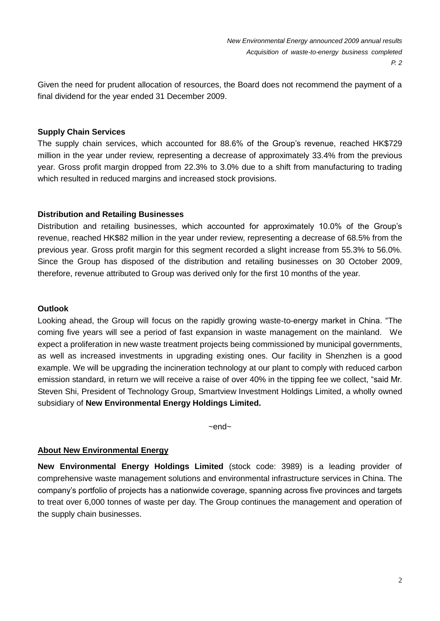Given the need for prudent allocation of resources, the Board does not recommend the payment of a final dividend for the year ended 31 December 2009.

### **Supply Chain Services**

The supply chain services, which accounted for 88.6% of the Group's revenue, reached HK\$729 million in the year under review, representing a decrease of approximately 33.4% from the previous year. Gross profit margin dropped from 22.3% to 3.0% due to a shift from manufacturing to trading which resulted in reduced margins and increased stock provisions.

### **Distribution and Retailing Businesses**

Distribution and retailing businesses, which accounted for approximately 10.0% of the Group's revenue, reached HK\$82 million in the year under review, representing a decrease of 68.5% from the previous year. Gross profit margin for this segment recorded a slight increase from 55.3% to 56.0%. Since the Group has disposed of the distribution and retailing businesses on 30 October 2009, therefore, revenue attributed to Group was derived only for the first 10 months of the year.

#### **Outlook**

Looking ahead, the Group will focus on the rapidly growing waste-to-energy market in China. "The coming five years will see a period of fast expansion in waste management on the mainland. We expect a proliferation in new waste treatment projects being commissioned by municipal governments, as well as increased investments in upgrading existing ones. Our facility in Shenzhen is a good example. We will be upgrading the incineration technology at our plant to comply with reduced carbon emission standard, in return we will receive a raise of over 40% in the tipping fee we collect, "said Mr. Steven Shi, President of Technology Group, Smartview Investment Holdings Limited, a wholly owned subsidiary of **New Environmental Energy Holdings Limited.**

~end~

#### **About New Environmental Energy**

**New Environmental Energy Holdings Limited** (stock code: 3989) is a leading provider of comprehensive waste management solutions and environmental infrastructure services in China. The company's portfolio of projects has a nationwide coverage, spanning across five provinces and targets to treat over 6,000 tonnes of waste per day. The Group continues the management and operation of the supply chain businesses.